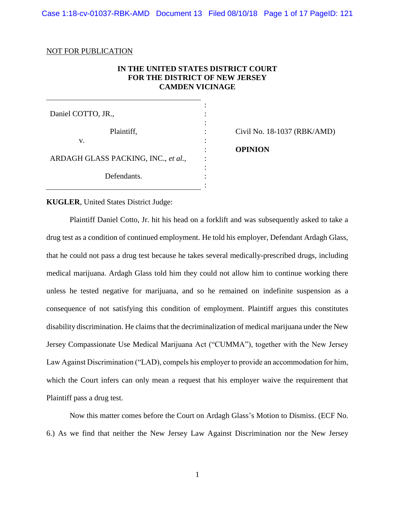Case 1:18-cv-01037-RBK-AMD Document 13 Filed 08/10/18 Page 1 of 17 PageID: 121

#### NOT FOR PUBLICATION

# **IN THE UNITED STATES DISTRICT COURT FOR THE DISTRICT OF NEW JERSEY CAMDEN VICINAGE**

Daniel COTTO, JR., Plaintiff, v. ARDAGH GLASS PACKING, INC., *et al.*, Defendants. : : : : : : : :

: Civil No. 18-1037 (RBK/AMD)

: **OPINION**

**KUGLER**, United States District Judge:

Plaintiff Daniel Cotto, Jr. hit his head on a forklift and was subsequently asked to take a drug test as a condition of continued employment. He told his employer, Defendant Ardagh Glass, that he could not pass a drug test because he takes several medically-prescribed drugs, including medical marijuana. Ardagh Glass told him they could not allow him to continue working there unless he tested negative for marijuana, and so he remained on indefinite suspension as a consequence of not satisfying this condition of employment. Plaintiff argues this constitutes disability discrimination. He claims that the decriminalization of medical marijuana under the New Jersey Compassionate Use Medical Marijuana Act ("CUMMA"), together with the New Jersey Law Against Discrimination ("LAD), compels his employer to provide an accommodation for him, which the Court infers can only mean a request that his employer waive the requirement that Plaintiff pass a drug test.

Now this matter comes before the Court on Ardagh Glass's Motion to Dismiss. (ECF No. 6.) As we find that neither the New Jersey Law Against Discrimination nor the New Jersey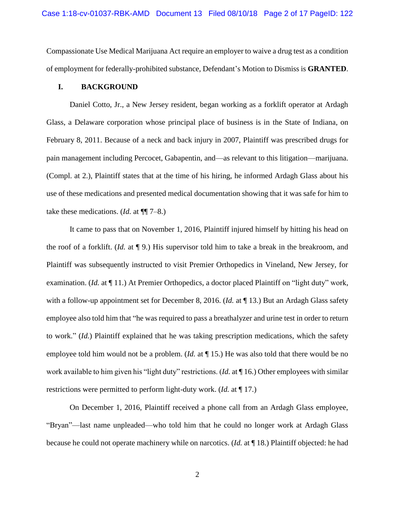Compassionate Use Medical Marijuana Act require an employer to waive a drug test as a condition of employment for federally-prohibited substance, Defendant's Motion to Dismiss is **GRANTED**.

## **I. BACKGROUND**

Daniel Cotto, Jr., a New Jersey resident, began working as a forklift operator at Ardagh Glass, a Delaware corporation whose principal place of business is in the State of Indiana, on February 8, 2011. Because of a neck and back injury in 2007, Plaintiff was prescribed drugs for pain management including Percocet, Gabapentin, and—as relevant to this litigation—marijuana. (Compl. at 2.), Plaintiff states that at the time of his hiring, he informed Ardagh Glass about his use of these medications and presented medical documentation showing that it was safe for him to take these medications. (*Id.* at  $\P$ [ $7-8$ .)

It came to pass that on November 1, 2016, Plaintiff injured himself by hitting his head on the roof of a forklift. (*Id.* at ¶ 9.) His supervisor told him to take a break in the breakroom, and Plaintiff was subsequently instructed to visit Premier Orthopedics in Vineland, New Jersey, for examination. (*Id.* at  $\P$  11.) At Premier Orthopedics, a doctor placed Plaintiff on "light duty" work, with a follow-up appointment set for December 8, 2016. (*Id.* at ¶ 13.) But an Ardagh Glass safety employee also told him that "he was required to pass a breathalyzer and urine test in order to return to work." (*Id.*) Plaintiff explained that he was taking prescription medications, which the safety employee told him would not be a problem. (*Id.* at ¶ 15.) He was also told that there would be no work available to him given his "light duty" restrictions. (*Id.* at ¶ 16.) Other employees with similar restrictions were permitted to perform light-duty work. (*Id.* at ¶ 17.)

On December 1, 2016, Plaintiff received a phone call from an Ardagh Glass employee, "Bryan"—last name unpleaded—who told him that he could no longer work at Ardagh Glass because he could not operate machinery while on narcotics. (*Id.* at ¶ 18.) Plaintiff objected: he had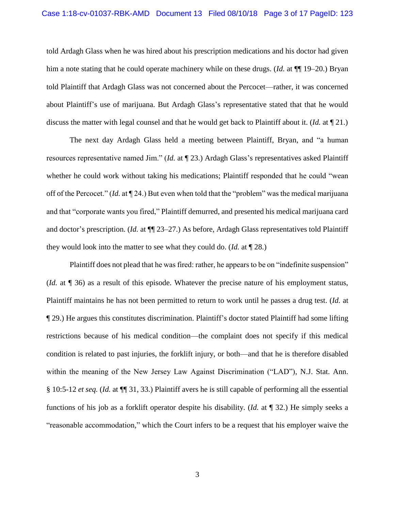told Ardagh Glass when he was hired about his prescription medications and his doctor had given him a note stating that he could operate machinery while on these drugs. (*Id.* at  $\P$  19–20.) Bryan told Plaintiff that Ardagh Glass was not concerned about the Percocet—rather, it was concerned about Plaintiff's use of marijuana. But Ardagh Glass's representative stated that that he would discuss the matter with legal counsel and that he would get back to Plaintiff about it. (*Id.* at ¶ 21.)

The next day Ardagh Glass held a meeting between Plaintiff, Bryan, and "a human resources representative named Jim." (*Id.* at ¶ 23.) Ardagh Glass's representatives asked Plaintiff whether he could work without taking his medications; Plaintiff responded that he could "wean off of the Percocet." (*Id.* at ¶ 24.) But even when told that the "problem" was the medical marijuana and that "corporate wants you fired," Plaintiff demurred, and presented his medical marijuana card and doctor's prescription. (*Id.* at ¶¶ 23–27.) As before, Ardagh Glass representatives told Plaintiff they would look into the matter to see what they could do. (*Id.* at ¶ 28.)

Plaintiff does not plead that he was fired: rather, he appears to be on "indefinite suspension" (*Id.* at ¶ 36) as a result of this episode. Whatever the precise nature of his employment status, Plaintiff maintains he has not been permitted to return to work until he passes a drug test. (*Id.* at ¶ 29.) He argues this constitutes discrimination. Plaintiff's doctor stated Plaintiff had some lifting restrictions because of his medical condition—the complaint does not specify if this medical condition is related to past injuries, the forklift injury, or both—and that he is therefore disabled within the meaning of the New Jersey Law Against Discrimination ("LAD"), N.J. Stat. Ann. § 10:5-12 *et seq.* (*Id.* at ¶¶ 31, 33.) Plaintiff avers he is still capable of performing all the essential functions of his job as a forklift operator despite his disability. (*Id.* at ¶ 32.) He simply seeks a "reasonable accommodation," which the Court infers to be a request that his employer waive the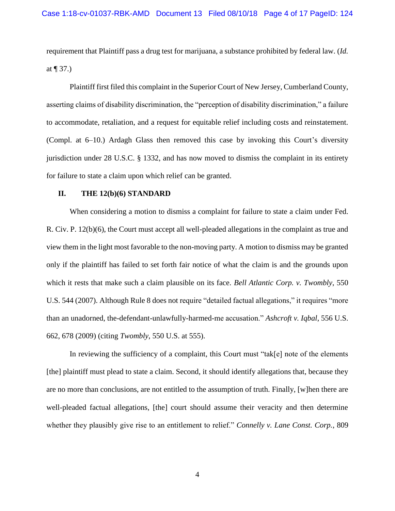requirement that Plaintiff pass a drug test for marijuana, a substance prohibited by federal law. (*Id.*  at  $\P$  37.)

Plaintiff first filed this complaint in the Superior Court of New Jersey, Cumberland County, asserting claims of disability discrimination, the "perception of disability discrimination," a failure to accommodate, retaliation, and a request for equitable relief including costs and reinstatement. (Compl. at 6–10.) Ardagh Glass then removed this case by invoking this Court's diversity jurisdiction under 28 U.S.C. § 1332, and has now moved to dismiss the complaint in its entirety for failure to state a claim upon which relief can be granted.

## **II. THE 12(b)(6) STANDARD**

When considering a motion to dismiss a complaint for failure to state a claim under Fed. R. Civ. P. 12(b)(6), the Court must accept all well-pleaded allegations in the complaint as true and view them in the light most favorable to the non-moving party. A motion to dismiss may be granted only if the plaintiff has failed to set forth fair notice of what the claim is and the grounds upon which it rests that make such a claim plausible on its face. *Bell Atlantic Corp. v. Twombly*, 550 U.S. 544 (2007). Although Rule 8 does not require "detailed factual allegations," it requires "more than an unadorned, the-defendant-unlawfully-harmed-me accusation." *Ashcroft v. Iqbal*, 556 U.S. 662, 678 (2009) (citing *Twombly*, 550 U.S. at 555).

In reviewing the sufficiency of a complaint, this Court must "tak[e] note of the elements [the] plaintiff must plead to state a claim. Second, it should identify allegations that, because they are no more than conclusions, are not entitled to the assumption of truth. Finally, [w]hen there are well-pleaded factual allegations, [the] court should assume their veracity and then determine whether they plausibly give rise to an entitlement to relief." *Connelly v. Lane Const. Corp.*, 809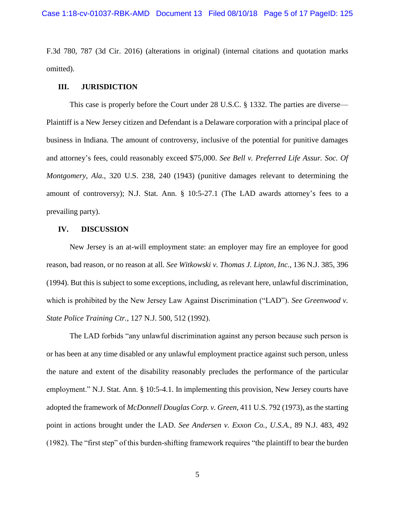F.3d 780, 787 (3d Cir. 2016) (alterations in original) (internal citations and quotation marks omitted).

#### **III. JURISDICTION**

This case is properly before the Court under 28 U.S.C. § 1332. The parties are diverse— Plaintiff is a New Jersey citizen and Defendant is a Delaware corporation with a principal place of business in Indiana. The amount of controversy, inclusive of the potential for punitive damages and attorney's fees, could reasonably exceed \$75,000. *See Bell v. Preferred Life Assur. Soc. Of Montgomery, Ala.*, 320 U.S. 238, 240 (1943) (punitive damages relevant to determining the amount of controversy); N.J. Stat. Ann. § 10:5-27.1 (The LAD awards attorney's fees to a prevailing party).

### **IV. DISCUSSION**

New Jersey is an at-will employment state: an employer may fire an employee for good reason, bad reason, or no reason at all. *See Witkowski v. Thomas J. Lipton, Inc.*, 136 N.J. 385, 396 (1994). But this is subject to some exceptions, including, as relevant here, unlawful discrimination, which is prohibited by the New Jersey Law Against Discrimination ("LAD"). *See Greenwood v. State Police Training Ctr.*, 127 N.J. 500, 512 (1992).

The LAD forbids "any unlawful discrimination against any person because such person is or has been at any time disabled or any unlawful employment practice against such person, unless the nature and extent of the disability reasonably precludes the performance of the particular employment." N.J. Stat. Ann. § 10:5-4.1. In implementing this provision, New Jersey courts have adopted the framework of *McDonnell Douglas Corp. v. Green*, 411 U.S. 792 (1973), as the starting point in actions brought under the LAD. *See Andersen v. Exxon Co., U.S.A.*, 89 N.J. 483, 492 (1982). The "first step" of this burden-shifting framework requires "the plaintiff to bear the burden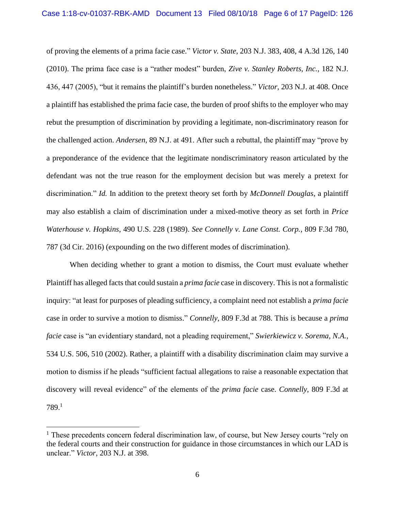of proving the elements of a prima facie case." *Victor v. State*, 203 N.J. 383, 408, 4 A.3d 126, 140 (2010). The prima face case is a "rather modest" burden, *Zive v. Stanley Roberts, Inc.*, 182 N.J. 436, 447 (2005), "but it remains the plaintiff's burden nonetheless." *Victor*, 203 N.J. at 408. Once a plaintiff has established the prima facie case, the burden of proof shifts to the employer who may rebut the presumption of discrimination by providing a legitimate, non-discriminatory reason for the challenged action. *Andersen*, 89 N.J. at 491. After such a rebuttal, the plaintiff may "prove by a preponderance of the evidence that the legitimate nondiscriminatory reason articulated by the defendant was not the true reason for the employment decision but was merely a pretext for discrimination." *Id.* In addition to the pretext theory set forth by *McDonnell Douglas*, a plaintiff may also establish a claim of discrimination under a mixed-motive theory as set forth in *Price Waterhouse v. Hopkins*, 490 U.S. 228 (1989). *See Connelly v. Lane Const. Corp.*, 809 F.3d 780, 787 (3d Cir. 2016) (expounding on the two different modes of discrimination).

When deciding whether to grant a motion to dismiss, the Court must evaluate whether Plaintiff has alleged facts that could sustain a *prima facie* case in discovery. This is not a formalistic inquiry: "at least for purposes of pleading sufficiency, a complaint need not establish a *prima facie* case in order to survive a motion to dismiss." *Connelly*, 809 F.3d at 788. This is because a *prima facie* case is "an evidentiary standard, not a pleading requirement," *Swierkiewicz v. Sorema, N.A.*, 534 U.S. 506, 510 (2002). Rather, a plaintiff with a disability discrimination claim may survive a motion to dismiss if he pleads "sufficient factual allegations to raise a reasonable expectation that discovery will reveal evidence" of the elements of the *prima facie* case. *Connelly*, 809 F.3d at 789.<sup>1</sup>

 $\overline{a}$ 

 $<sup>1</sup>$  These precedents concern federal discrimination law, of course, but New Jersey courts "rely on</sup> the federal courts and their construction for guidance in those circumstances in which our LAD is unclear." *Victor*, 203 N.J. at 398.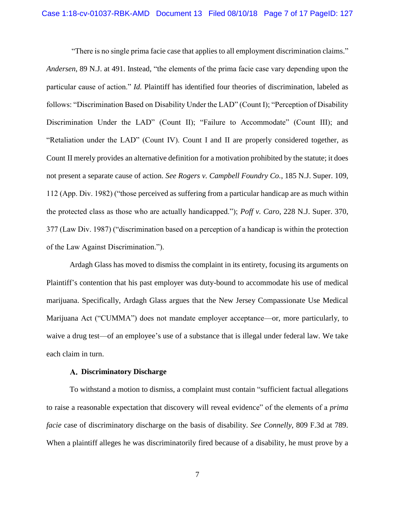"There is no single prima facie case that applies to all employment discrimination claims."

*Andersen*, 89 N.J. at 491. Instead, "the elements of the prima facie case vary depending upon the particular cause of action." *Id.* Plaintiff has identified four theories of discrimination, labeled as follows: "Discrimination Based on Disability Under the LAD" (Count I); "Perception of Disability Discrimination Under the LAD" (Count II); "Failure to Accommodate" (Count III); and "Retaliation under the LAD" (Count IV). Count I and II are properly considered together, as Count II merely provides an alternative definition for a motivation prohibited by the statute; it does not present a separate cause of action. *See Rogers v. Campbell Foundry Co.*, 185 N.J. Super. 109, 112 (App. Div. 1982) ("those perceived as suffering from a particular handicap are as much within the protected class as those who are actually handicapped."); *Poff v. Caro*, 228 N.J. Super. 370, 377 (Law Div. 1987) ("discrimination based on a perception of a handicap is within the protection of the Law Against Discrimination.").

Ardagh Glass has moved to dismiss the complaint in its entirety, focusing its arguments on Plaintiff's contention that his past employer was duty-bound to accommodate his use of medical marijuana. Specifically, Ardagh Glass argues that the New Jersey Compassionate Use Medical Marijuana Act ("CUMMA") does not mandate employer acceptance—or, more particularly, to waive a drug test—of an employee's use of a substance that is illegal under federal law. We take each claim in turn.

### **Discriminatory Discharge**

To withstand a motion to dismiss, a complaint must contain "sufficient factual allegations to raise a reasonable expectation that discovery will reveal evidence" of the elements of a *prima facie* case of discriminatory discharge on the basis of disability. *See Connelly*, 809 F.3d at 789. When a plaintiff alleges he was discriminatorily fired because of a disability, he must prove by a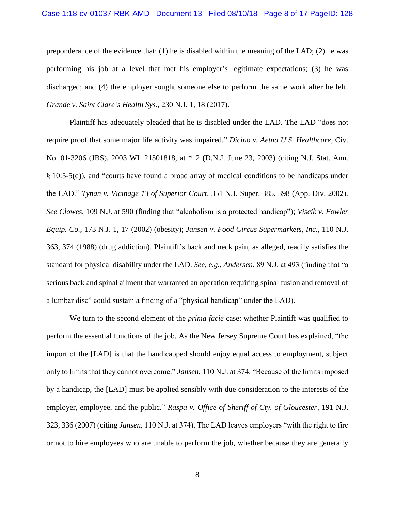### Case 1:18-cv-01037-RBK-AMD Document 13 Filed 08/10/18 Page 8 of 17 PageID: 128

preponderance of the evidence that: (1) he is disabled within the meaning of the LAD; (2) he was performing his job at a level that met his employer's legitimate expectations; (3) he was discharged; and (4) the employer sought someone else to perform the same work after he left. *Grande v. Saint Clare's Health Sys.*, 230 N.J. 1, 18 (2017).

Plaintiff has adequately pleaded that he is disabled under the LAD. The LAD "does not require proof that some major life activity was impaired," *Dicino v. Aetna U.S. Healthcare*, Civ. No. 01-3206 (JBS), 2003 WL 21501818, at \*12 (D.N.J. June 23, 2003) (citing N.J. Stat. Ann. § 10:5-5(q)), and "courts have found a broad array of medical conditions to be handicaps under the LAD." *Tynan v. Vicinage 13 of Superior Court*, 351 N.J. Super. 385, 398 (App. Div. 2002). *See Clowes*, 109 N.J. at 590 (finding that "alcoholism is a protected handicap"); *Viscik v. Fowler Equip. Co.*, 173 N.J. 1, 17 (2002) (obesity); *Jansen v. Food Circus Supermarkets, Inc.*, 110 N.J. 363, 374 (1988) (drug addiction). Plaintiff's back and neck pain, as alleged, readily satisfies the standard for physical disability under the LAD. *See, e.g.*, *Andersen*, 89 N.J. at 493 (finding that "a serious back and spinal ailment that warranted an operation requiring spinal fusion and removal of a lumbar disc" could sustain a finding of a "physical handicap" under the LAD).

We turn to the second element of the *prima facie* case: whether Plaintiff was qualified to perform the essential functions of the job. As the New Jersey Supreme Court has explained, "the import of the [LAD] is that the handicapped should enjoy equal access to employment, subject only to limits that they cannot overcome." *Jansen*, 110 N.J. at 374. "Because of the limits imposed by a handicap, the [LAD] must be applied sensibly with due consideration to the interests of the employer, employee, and the public." *Raspa v. Office of Sheriff of Cty. of Gloucester*, 191 N.J. 323, 336 (2007) (citing *Jansen*, 110 N.J. at 374). The LAD leaves employers "with the right to fire or not to hire employees who are unable to perform the job, whether because they are generally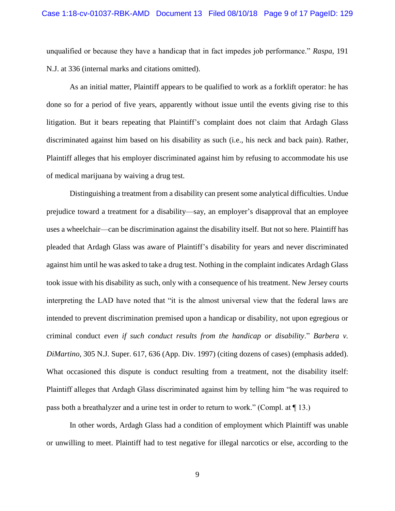unqualified or because they have a handicap that in fact impedes job performance." *Raspa*, 191 N.J. at 336 (internal marks and citations omitted).

As an initial matter, Plaintiff appears to be qualified to work as a forklift operator: he has done so for a period of five years, apparently without issue until the events giving rise to this litigation. But it bears repeating that Plaintiff's complaint does not claim that Ardagh Glass discriminated against him based on his disability as such (i.e., his neck and back pain). Rather, Plaintiff alleges that his employer discriminated against him by refusing to accommodate his use of medical marijuana by waiving a drug test.

Distinguishing a treatment from a disability can present some analytical difficulties. Undue prejudice toward a treatment for a disability—say, an employer's disapproval that an employee uses a wheelchair—can be discrimination against the disability itself. But not so here. Plaintiff has pleaded that Ardagh Glass was aware of Plaintiff's disability for years and never discriminated against him until he was asked to take a drug test. Nothing in the complaint indicates Ardagh Glass took issue with his disability as such, only with a consequence of his treatment. New Jersey courts interpreting the LAD have noted that "it is the almost universal view that the federal laws are intended to prevent discrimination premised upon a handicap or disability, not upon egregious or criminal conduct *even if such conduct results from the handicap or disability*." *Barbera v. DiMartino*, 305 N.J. Super. 617, 636 (App. Div. 1997) (citing dozens of cases) (emphasis added). What occasioned this dispute is conduct resulting from a treatment, not the disability itself: Plaintiff alleges that Ardagh Glass discriminated against him by telling him "he was required to pass both a breathalyzer and a urine test in order to return to work." (Compl. at ¶ 13.)

In other words, Ardagh Glass had a condition of employment which Plaintiff was unable or unwilling to meet. Plaintiff had to test negative for illegal narcotics or else, according to the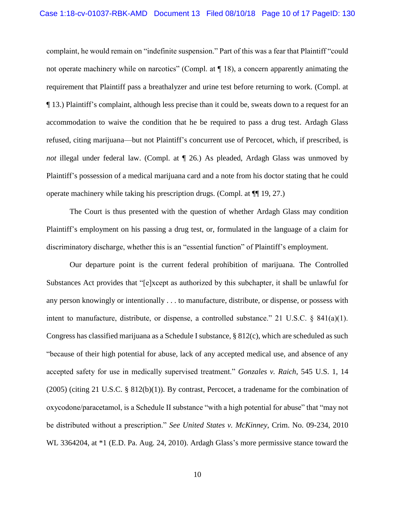complaint, he would remain on "indefinite suspension." Part of this was a fear that Plaintiff "could not operate machinery while on narcotics" (Compl. at  $\P$  18), a concern apparently animating the requirement that Plaintiff pass a breathalyzer and urine test before returning to work. (Compl. at ¶ 13.) Plaintiff's complaint, although less precise than it could be, sweats down to a request for an accommodation to waive the condition that he be required to pass a drug test. Ardagh Glass refused, citing marijuana—but not Plaintiff's concurrent use of Percocet, which, if prescribed, is *not* illegal under federal law. (Compl. at  $\P$  26.) As pleaded, Ardagh Glass was unmoved by Plaintiff's possession of a medical marijuana card and a note from his doctor stating that he could operate machinery while taking his prescription drugs. (Compl. at ¶¶ 19, 27.)

The Court is thus presented with the question of whether Ardagh Glass may condition Plaintiff's employment on his passing a drug test, or, formulated in the language of a claim for discriminatory discharge, whether this is an "essential function" of Plaintiff's employment.

Our departure point is the current federal prohibition of marijuana. The Controlled Substances Act provides that "[e]xcept as authorized by this subchapter, it shall be unlawful for any person knowingly or intentionally . . . to manufacture, distribute, or dispense, or possess with intent to manufacture, distribute, or dispense, a controlled substance." 21 U.S.C.  $\&$  841(a)(1). Congress has classified marijuana as a Schedule I substance, § 812(c), which are scheduled as such "because of their high potential for abuse, lack of any accepted medical use, and absence of any accepted safety for use in medically supervised treatment." *Gonzales v. Raich*, 545 U.S. 1, 14  $(2005)$  (citing 21 U.S.C. § 812(b)(1)). By contrast, Percocet, a tradename for the combination of oxycodone/paracetamol, is a Schedule II substance "with a high potential for abuse" that "may not be distributed without a prescription." *See United States v. McKinney*, Crim. No. 09-234, 2010 WL 3364204, at \*1 (E.D. Pa. Aug. 24, 2010). Ardagh Glass's more permissive stance toward the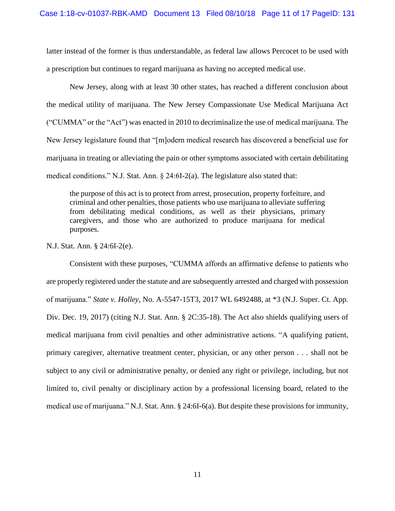latter instead of the former is thus understandable, as federal law allows Percocet to be used with a prescription but continues to regard marijuana as having no accepted medical use.

New Jersey, along with at least 30 other states, has reached a different conclusion about the medical utility of marijuana. The New Jersey Compassionate Use Medical Marijuana Act ("CUMMA" or the "Act") was enacted in 2010 to decriminalize the use of medical marijuana. The New Jersey legislature found that "[m]odern medical research has discovered a beneficial use for marijuana in treating or alleviating the pain or other symptoms associated with certain debilitating medical conditions." N.J. Stat. Ann. § 24:6I-2(a). The legislature also stated that:

the purpose of this act is to protect from arrest, prosecution, property forfeiture, and criminal and other penalties, those patients who use marijuana to alleviate suffering from debilitating medical conditions, as well as their physicians, primary caregivers, and those who are authorized to produce marijuana for medical purposes.

N.J. Stat. Ann. § 24:6I-2(e).

Consistent with these purposes, "CUMMA affords an affirmative defense to patients who are properly registered under the statute and are subsequently arrested and charged with possession of marijuana." *State v. Holley*, No. A-5547-15T3, 2017 WL 6492488, at \*3 (N.J. Super. Ct. App. Div. Dec. 19, 2017) (citing N.J. Stat. Ann. § 2C:35-18). The Act also shields qualifying users of medical marijuana from civil penalties and other administrative actions. "A qualifying patient, primary caregiver, alternative treatment center, physician, or any other person . . . shall not be subject to any civil or administrative penalty, or denied any right or privilege, including, but not limited to, civil penalty or disciplinary action by a professional licensing board, related to the medical use of marijuana." N.J. Stat. Ann. § 24:6I-6(a). But despite these provisions for immunity,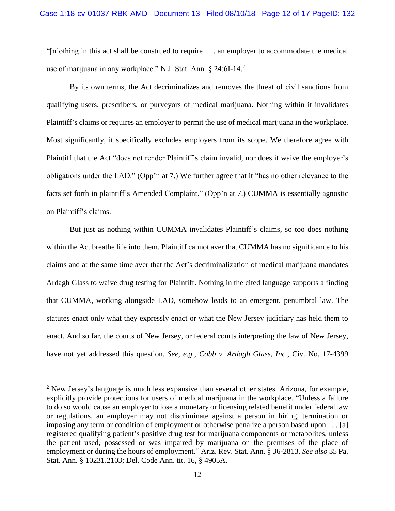"[n]othing in this act shall be construed to require . . . an employer to accommodate the medical use of marijuana in any workplace." N.J. Stat. Ann. § 24:6I-14.<sup>2</sup>

By its own terms, the Act decriminalizes and removes the threat of civil sanctions from qualifying users, prescribers, or purveyors of medical marijuana. Nothing within it invalidates Plaintiff's claims or requires an employer to permit the use of medical marijuana in the workplace. Most significantly, it specifically excludes employers from its scope. We therefore agree with Plaintiff that the Act "does not render Plaintiff's claim invalid, nor does it waive the employer's obligations under the LAD." (Opp'n at 7.) We further agree that it "has no other relevance to the facts set forth in plaintiff's Amended Complaint." (Opp'n at 7.) CUMMA is essentially agnostic on Plaintiff's claims.

But just as nothing within CUMMA invalidates Plaintiff's claims, so too does nothing within the Act breathe life into them. Plaintiff cannot aver that CUMMA has no significance to his claims and at the same time aver that the Act's decriminalization of medical marijuana mandates Ardagh Glass to waive drug testing for Plaintiff. Nothing in the cited language supports a finding that CUMMA, working alongside LAD, somehow leads to an emergent, penumbral law. The statutes enact only what they expressly enact or what the New Jersey judiciary has held them to enact. And so far, the courts of New Jersey, or federal courts interpreting the law of New Jersey, have not yet addressed this question. *See, e.g.*, *Cobb v. Ardagh Glass, Inc.*, Civ. No. 17-4399

 $\overline{a}$ 

 $2$  New Jersey's language is much less expansive than several other states. Arizona, for example, explicitly provide protections for users of medical marijuana in the workplace. "Unless a failure to do so would cause an employer to lose a monetary or licensing related benefit under federal law or regulations, an employer may not discriminate against a person in hiring, termination or imposing any term or condition of employment or otherwise penalize a person based upon . . . [a] registered qualifying patient's positive drug test for marijuana components or metabolites, unless the patient used, possessed or was impaired by marijuana on the premises of the place of employment or during the hours of employment." Ariz. Rev. Stat. Ann. § 36-2813. *See also* 35 Pa. Stat. Ann. § 10231.2103; Del. Code Ann. tit. 16, § 4905A.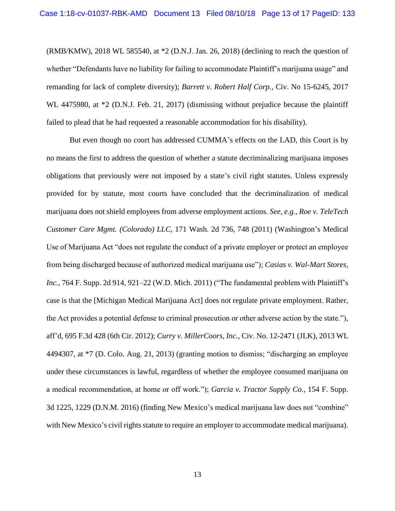(RMB/KMW), 2018 WL 585540, at \*2 (D.N.J. Jan. 26, 2018) (declining to reach the question of whether "Defendants have no liability for failing to accommodate Plaintiff's marijuana usage" and remanding for lack of complete diversity); *Barrett v. Robert Half Corp.*, Civ. No 15-6245, 2017 WL 4475980, at  $*2$  (D.N.J. Feb. 21, 2017) (dismissing without prejudice because the plaintiff failed to plead that he had requested a reasonable accommodation for his disability).

But even though no court has addressed CUMMA's effects on the LAD, this Court is by no means the first to address the question of whether a statute decriminalizing marijuana imposes obligations that previously were not imposed by a state's civil right statutes. Unless expressly provided for by statute, most courts have concluded that the decriminalization of medical marijuana does not shield employees from adverse employment actions. *See, e.g.*, *Roe v. TeleTech Customer Care Mgmt. (Colorado) LLC*, 171 Wash. 2d 736, 748 (2011) (Washington's Medical Use of Marijuana Act "does not regulate the conduct of a private employer or protect an employee from being discharged because of authorized medical marijuana use"); *Casias v. Wal-Mart Stores, Inc.*, 764 F. Supp. 2d 914, 921–22 (W.D. Mich. 2011) ("The fundamental problem with Plaintiff's case is that the [Michigan Medical Marijuana Act] does not regulate private employment. Rather, the Act provides a potential defense to criminal prosecution or other adverse action by the state."), aff'd, 695 F.3d 428 (6th Cir. 2012); *Curry v. MillerCoors, Inc.*, Civ. No. 12-2471 (JLK), 2013 WL 4494307, at \*7 (D. Colo. Aug. 21, 2013) (granting motion to dismiss; "discharging an employee under these circumstances is lawful, regardless of whether the employee consumed marijuana on a medical recommendation, at home or off work."); *Garcia v. Tractor Supply Co.*, 154 F. Supp. 3d 1225, 1229 (D.N.M. 2016) (finding New Mexico's medical marijuana law does not "combine" with New Mexico's civil rights statute to require an employer to accommodate medical marijuana).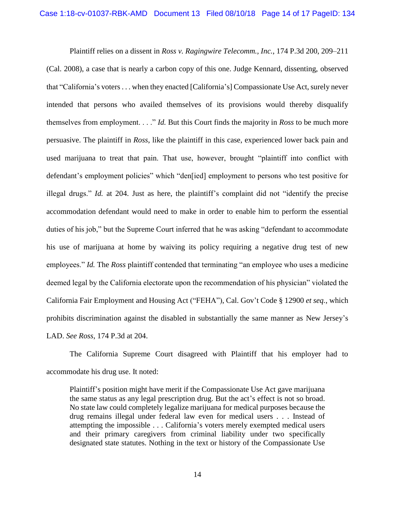Plaintiff relies on a dissent in *Ross v. Ragingwire Telecomm., Inc.*, 174 P.3d 200, 209–211 (Cal. 2008), a case that is nearly a carbon copy of this one. Judge Kennard, dissenting, observed that "California's voters . . . when they enacted [California's] Compassionate Use Act, surely never intended that persons who availed themselves of its provisions would thereby disqualify themselves from employment. . . ." *Id.* But this Court finds the majority in *Ross* to be much more persuasive. The plaintiff in *Ross*, like the plaintiff in this case, experienced lower back pain and used marijuana to treat that pain. That use, however, brought "plaintiff into conflict with defendant's employment policies" which "den[ied] employment to persons who test positive for illegal drugs." *Id.* at 204. Just as here, the plaintiff's complaint did not "identify the precise accommodation defendant would need to make in order to enable him to perform the essential duties of his job," but the Supreme Court inferred that he was asking "defendant to accommodate his use of marijuana at home by waiving its policy requiring a negative drug test of new employees." *Id.* The *Ross* plaintiff contended that terminating "an employee who uses a medicine deemed legal by the California electorate upon the recommendation of his physician" violated the California Fair Employment and Housing Act ("FEHA"), Cal. Gov't Code § 12900 *et seq.*, which prohibits discrimination against the disabled in substantially the same manner as New Jersey's LAD. *See Ross*, 174 P.3d at 204.

The California Supreme Court disagreed with Plaintiff that his employer had to accommodate his drug use. It noted:

Plaintiff's position might have merit if the Compassionate Use Act gave marijuana the same status as any legal prescription drug. But the act's effect is not so broad. No state law could completely legalize marijuana for medical purposes because the drug remains illegal under federal law even for medical users . . . Instead of attempting the impossible . . . California's voters merely exempted medical users and their primary caregivers from criminal liability under two specifically designated state statutes. Nothing in the text or history of the Compassionate Use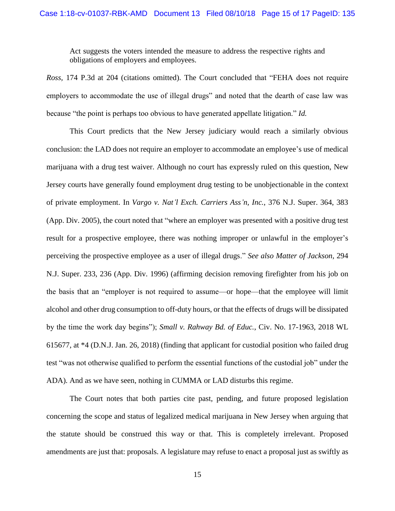Act suggests the voters intended the measure to address the respective rights and obligations of employers and employees.

*Ross,* 174 P.3d at 204 (citations omitted). The Court concluded that "FEHA does not require employers to accommodate the use of illegal drugs" and noted that the dearth of case law was because "the point is perhaps too obvious to have generated appellate litigation." *Id.*

This Court predicts that the New Jersey judiciary would reach a similarly obvious conclusion: the LAD does not require an employer to accommodate an employee's use of medical marijuana with a drug test waiver. Although no court has expressly ruled on this question, New Jersey courts have generally found employment drug testing to be unobjectionable in the context of private employment. In *Vargo v. Nat'l Exch. Carriers Ass'n, Inc.*, 376 N.J. Super. 364, 383 (App. Div. 2005), the court noted that "where an employer was presented with a positive drug test result for a prospective employee, there was nothing improper or unlawful in the employer's perceiving the prospective employee as a user of illegal drugs." *See also Matter of Jackson*, 294 N.J. Super. 233, 236 (App. Div. 1996) (affirming decision removing firefighter from his job on the basis that an "employer is not required to assume—or hope—that the employee will limit alcohol and other drug consumption to off-duty hours, or that the effects of drugs will be dissipated by the time the work day begins"); *Small v. Rahway Bd. of Educ.*, Civ. No. 17-1963, 2018 WL 615677, at \*4 (D.N.J. Jan. 26, 2018) (finding that applicant for custodial position who failed drug test "was not otherwise qualified to perform the essential functions of the custodial job" under the ADA). And as we have seen, nothing in CUMMA or LAD disturbs this regime.

The Court notes that both parties cite past, pending, and future proposed legislation concerning the scope and status of legalized medical marijuana in New Jersey when arguing that the statute should be construed this way or that. This is completely irrelevant. Proposed amendments are just that: proposals. A legislature may refuse to enact a proposal just as swiftly as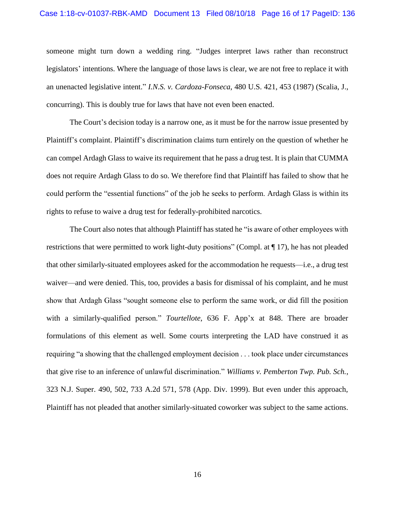### Case 1:18-cv-01037-RBK-AMD Document 13 Filed 08/10/18 Page 16 of 17 PageID: 136

someone might turn down a wedding ring. "Judges interpret laws rather than reconstruct legislators' intentions. Where the language of those laws is clear, we are not free to replace it with an unenacted legislative intent." *I.N.S. v. Cardoza-Fonseca*, 480 U.S. 421, 453 (1987) (Scalia, J., concurring). This is doubly true for laws that have not even been enacted.

The Court's decision today is a narrow one, as it must be for the narrow issue presented by Plaintiff's complaint. Plaintiff's discrimination claims turn entirely on the question of whether he can compel Ardagh Glass to waive its requirement that he pass a drug test. It is plain that CUMMA does not require Ardagh Glass to do so. We therefore find that Plaintiff has failed to show that he could perform the "essential functions" of the job he seeks to perform. Ardagh Glass is within its rights to refuse to waive a drug test for federally-prohibited narcotics.

The Court also notes that although Plaintiff has stated he "is aware of other employees with restrictions that were permitted to work light-duty positions" (Compl. at ¶ 17), he has not pleaded that other similarly-situated employees asked for the accommodation he requests—i.e., a drug test waiver—and were denied. This, too, provides a basis for dismissal of his complaint, and he must show that Ardagh Glass "sought someone else to perform the same work, or did fill the position with a similarly-qualified person." *Tourtellote*, 636 F. App'x at 848. There are broader formulations of this element as well. Some courts interpreting the LAD have construed it as requiring "a showing that the challenged employment decision . . . took place under circumstances that give rise to an inference of unlawful discrimination." *Williams v. Pemberton Twp. Pub. Sch.*, 323 N.J. Super. 490, 502, 733 A.2d 571, 578 (App. Div. 1999). But even under this approach, Plaintiff has not pleaded that another similarly-situated coworker was subject to the same actions.